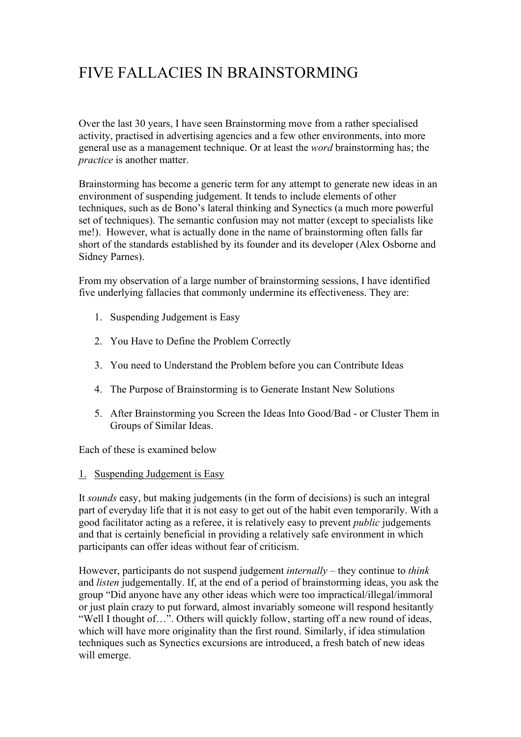# FIVE FALLACIES IN BRAINSTORMING

Over the last 30 years, I have seen Brainstorming move from a rather specialised activity, practised in advertising agencies and a few other environments, into more general use as a management technique. Or at least the *word* brainstorming has; the *practice* is another matter.

Brainstorming has become a generic term for any attempt to generate new ideas in an environment of suspending judgement. It tends to include elements of other techniques, such as de Bono's lateral thinking and Synectics (a much more powerful set of techniques). The semantic confusion may not matter (except to specialists like me!). However, what is actually done in the name of brainstorming often falls far short of the standards established by its founder and its developer (Alex Osborne and Sidney Parnes).

From my observation of a large number of brainstorming sessions, I have identified five underlying fallacies that commonly undermine its effectiveness. They are:

- 1. Suspending Judgement is Easy
- 2. You Have to Define the Problem Correctly
- 3. You need to Understand the Problem before you can Contribute Ideas
- 4. The Purpose of Brainstorming is to Generate Instant New Solutions
- 5. After Brainstorming you Screen the Ideas Into Good/Bad or Cluster Them in Groups of Similar Ideas.

Each of these is examined below

1. Suspending Judgement is Easy

It *sounds* easy, but making judgements (in the form of decisions) is such an integral part of everyday life that it is not easy to get out of the habit even temporarily. With a good facilitator acting as a referee, it is relatively easy to prevent *public* judgements and that is certainly beneficial in providing a relatively safe environment in which participants can offer ideas without fear of criticism.

However, participants do not suspend judgement *internally* – they continue to *think* and *listen* judgementally. If, at the end of a period of brainstorming ideas, you ask the group "Did anyone have any other ideas which were too impractical/illegal/immoral or just plain crazy to put forward, almost invariably someone will respond hesitantly "Well I thought of…". Others will quickly follow, starting off a new round of ideas, which will have more originality than the first round. Similarly, if idea stimulation techniques such as Synectics excursions are introduced, a fresh batch of new ideas will emerge.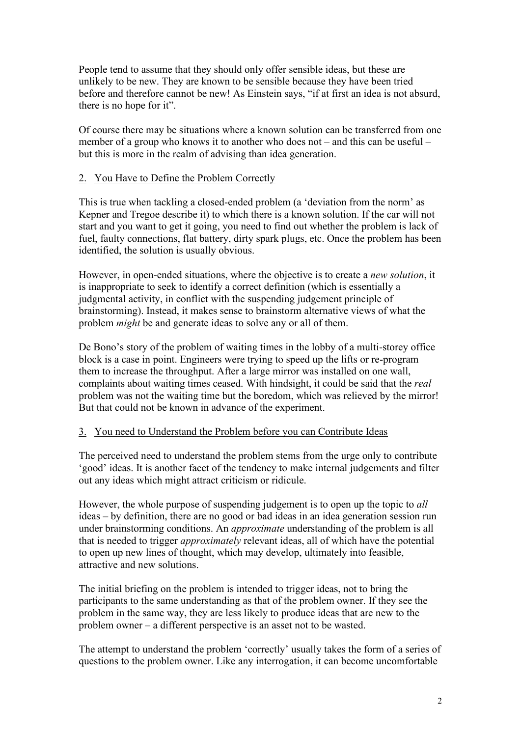People tend to assume that they should only offer sensible ideas, but these are unlikely to be new. They are known to be sensible because they have been tried before and therefore cannot be new! As Einstein says, "if at first an idea is not absurd, there is no hope for it".

Of course there may be situations where a known solution can be transferred from one member of a group who knows it to another who does not – and this can be useful – but this is more in the realm of advising than idea generation.

#### 2. You Have to Define the Problem Correctly

This is true when tackling a closed-ended problem (a 'deviation from the norm' as Kepner and Tregoe describe it) to which there is a known solution. If the car will not start and you want to get it going, you need to find out whether the problem is lack of fuel, faulty connections, flat battery, dirty spark plugs, etc. Once the problem has been identified, the solution is usually obvious.

However, in open-ended situations, where the objective is to create a *new solution*, it is inappropriate to seek to identify a correct definition (which is essentially a judgmental activity, in conflict with the suspending judgement principle of brainstorming). Instead, it makes sense to brainstorm alternative views of what the problem *might* be and generate ideas to solve any or all of them.

De Bono's story of the problem of waiting times in the lobby of a multi-storey office block is a case in point. Engineers were trying to speed up the lifts or re-program them to increase the throughput. After a large mirror was installed on one wall, complaints about waiting times ceased. With hindsight, it could be said that the *real*  problem was not the waiting time but the boredom, which was relieved by the mirror! But that could not be known in advance of the experiment.

## 3. You need to Understand the Problem before you can Contribute Ideas

The perceived need to understand the problem stems from the urge only to contribute 'good' ideas. It is another facet of the tendency to make internal judgements and filter out any ideas which might attract criticism or ridicule.

However, the whole purpose of suspending judgement is to open up the topic to *all* ideas – by definition, there are no good or bad ideas in an idea generation session run under brainstorming conditions. An *approximate* understanding of the problem is all that is needed to trigger *approximately* relevant ideas, all of which have the potential to open up new lines of thought, which may develop, ultimately into feasible, attractive and new solutions.

The initial briefing on the problem is intended to trigger ideas, not to bring the participants to the same understanding as that of the problem owner. If they see the problem in the same way, they are less likely to produce ideas that are new to the problem owner – a different perspective is an asset not to be wasted.

The attempt to understand the problem 'correctly' usually takes the form of a series of questions to the problem owner. Like any interrogation, it can become uncomfortable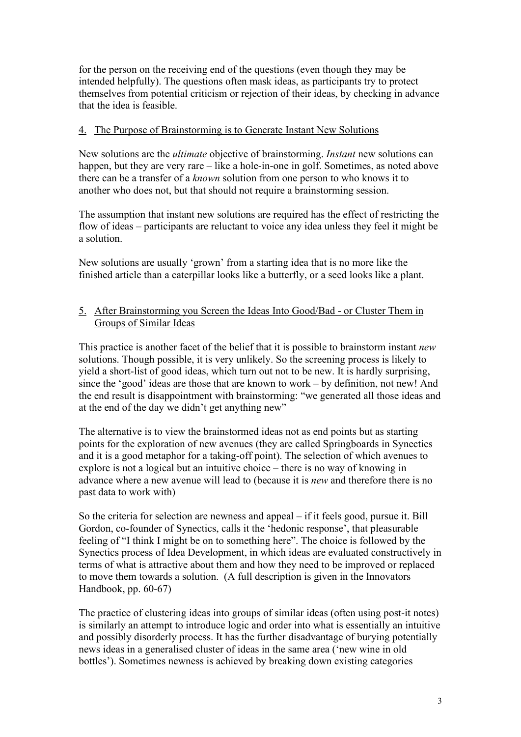for the person on the receiving end of the questions (even though they may be intended helpfully). The questions often mask ideas, as participants try to protect themselves from potential criticism or rejection of their ideas, by checking in advance that the idea is feasible.

#### 4. The Purpose of Brainstorming is to Generate Instant New Solutions

New solutions are the *ultimate* objective of brainstorming. *Instant* new solutions can happen, but they are very rare – like a hole-in-one in golf. Sometimes, as noted above there can be a transfer of a *known* solution from one person to who knows it to another who does not, but that should not require a brainstorming session.

The assumption that instant new solutions are required has the effect of restricting the flow of ideas – participants are reluctant to voice any idea unless they feel it might be a solution.

New solutions are usually 'grown' from a starting idea that is no more like the finished article than a caterpillar looks like a butterfly, or a seed looks like a plant.

## 5. After Brainstorming you Screen the Ideas Into Good/Bad - or Cluster Them in Groups of Similar Ideas

This practice is another facet of the belief that it is possible to brainstorm instant *new* solutions. Though possible, it is very unlikely. So the screening process is likely to yield a short-list of good ideas, which turn out not to be new. It is hardly surprising, since the 'good' ideas are those that are known to work – by definition, not new! And the end result is disappointment with brainstorming: "we generated all those ideas and at the end of the day we didn't get anything new"

The alternative is to view the brainstormed ideas not as end points but as starting points for the exploration of new avenues (they are called Springboards in Synectics and it is a good metaphor for a taking-off point). The selection of which avenues to explore is not a logical but an intuitive choice – there is no way of knowing in advance where a new avenue will lead to (because it is *new* and therefore there is no past data to work with)

So the criteria for selection are newness and appeal – if it feels good, pursue it. Bill Gordon, co-founder of Synectics, calls it the 'hedonic response', that pleasurable feeling of "I think I might be on to something here". The choice is followed by the Synectics process of Idea Development, in which ideas are evaluated constructively in terms of what is attractive about them and how they need to be improved or replaced to move them towards a solution. (A full description is given in the Innovators Handbook, pp. 60-67)

The practice of clustering ideas into groups of similar ideas (often using post-it notes) is similarly an attempt to introduce logic and order into what is essentially an intuitive and possibly disorderly process. It has the further disadvantage of burying potentially news ideas in a generalised cluster of ideas in the same area ('new wine in old bottles'). Sometimes newness is achieved by breaking down existing categories